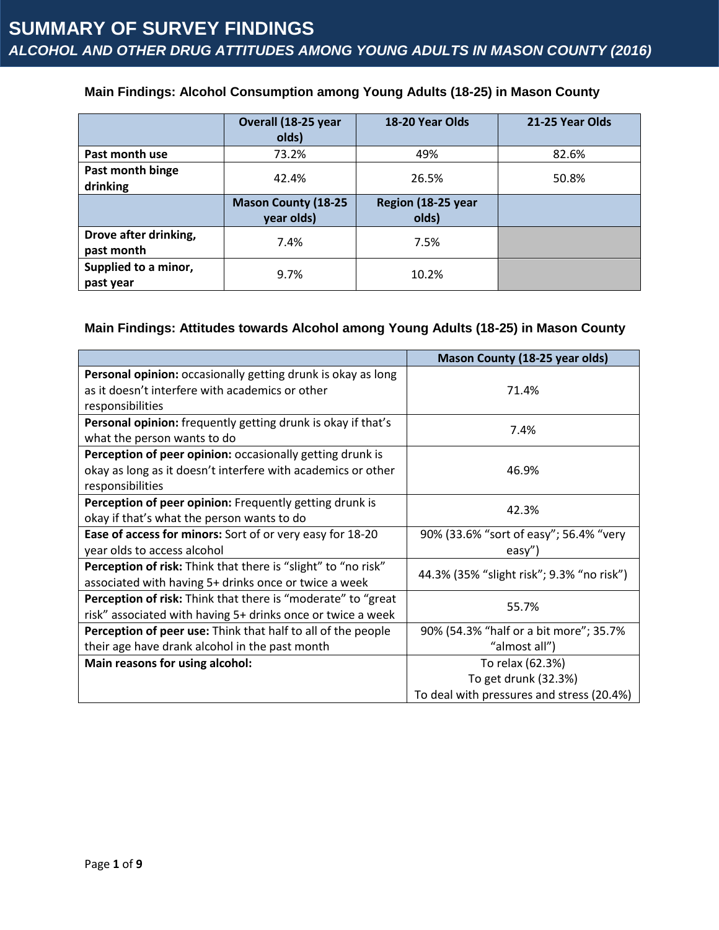### **Main Findings: Alcohol Consumption among Young Adults (18-25) in Mason County**

|                                     | Overall (18-25 year<br>olds)             | 18-20 Year Olds             | 21-25 Year Olds |
|-------------------------------------|------------------------------------------|-----------------------------|-----------------|
| Past month use                      | 73.2%                                    | 49%                         | 82.6%           |
| Past month binge<br>drinking        | 42.4%                                    | 26.5%                       | 50.8%           |
|                                     | <b>Mason County (18-25</b><br>year olds) | Region (18-25 year<br>olds) |                 |
| Drove after drinking,<br>past month | 7.4%                                     | 7.5%                        |                 |
| Supplied to a minor,<br>past year   | 9.7%                                     | 10.2%                       |                 |

### **Main Findings: Attitudes towards Alcohol among Young Adults (18-25) in Mason County**

|                                                                      | <b>Mason County (18-25 year olds)</b>     |  |
|----------------------------------------------------------------------|-------------------------------------------|--|
| Personal opinion: occasionally getting drunk is okay as long         |                                           |  |
| as it doesn't interfere with academics or other                      | 71.4%                                     |  |
| responsibilities                                                     |                                           |  |
| Personal opinion: frequently getting drunk is okay if that's         | 7.4%                                      |  |
| what the person wants to do                                          |                                           |  |
| Perception of peer opinion: occasionally getting drunk is            |                                           |  |
| okay as long as it doesn't interfere with academics or other         | 46.9%                                     |  |
| responsibilities                                                     |                                           |  |
| Perception of peer opinion: Frequently getting drunk is              | 42.3%                                     |  |
| okay if that's what the person wants to do                           |                                           |  |
| Ease of access for minors: Sort of or very easy for 18-20            | 90% (33.6% "sort of easy"; 56.4% "very    |  |
| year olds to access alcohol                                          | easy")                                    |  |
| <b>Perception of risk:</b> Think that there is "slight" to "no risk" | 44.3% (35% "slight risk"; 9.3% "no risk") |  |
| associated with having 5+ drinks once or twice a week                |                                           |  |
| Perception of risk: Think that there is "moderate" to "great         | 55.7%                                     |  |
| risk" associated with having 5+ drinks once or twice a week          |                                           |  |
| Perception of peer use: Think that half to all of the people         | 90% (54.3% "half or a bit more"; 35.7%    |  |
| their age have drank alcohol in the past month                       | "almost all")                             |  |
| Main reasons for using alcohol:                                      | To relax (62.3%)                          |  |
|                                                                      | To get drunk (32.3%)                      |  |
|                                                                      | To deal with pressures and stress (20.4%) |  |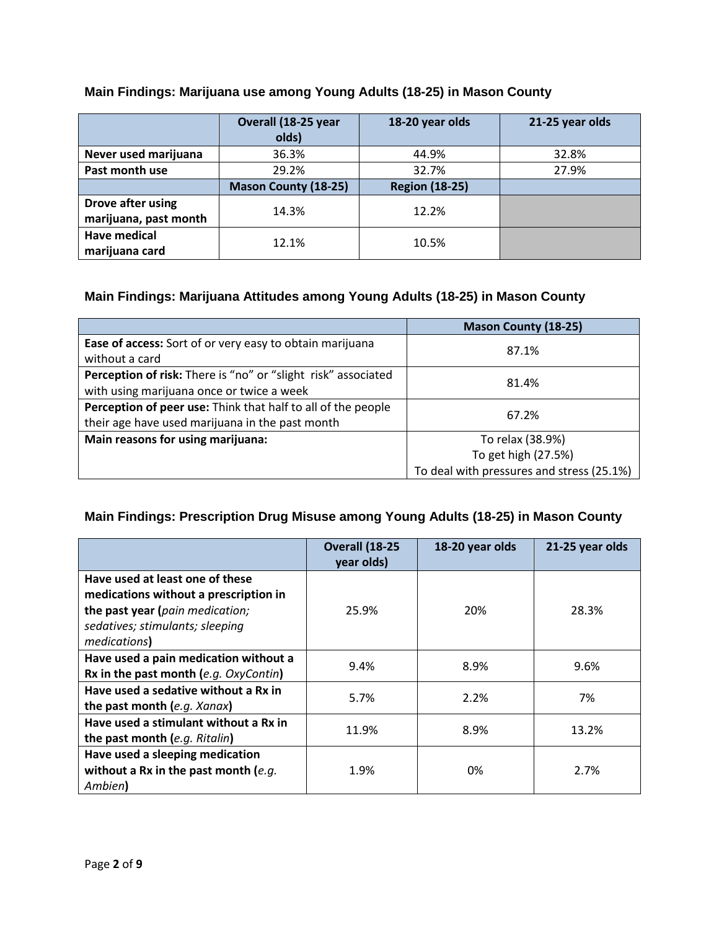### **Main Findings: Marijuana use among Young Adults (18-25) in Mason County**

|                                            | Overall (18-25 year<br>olds) | 18-20 year olds       | 21-25 year olds |
|--------------------------------------------|------------------------------|-----------------------|-----------------|
| Never used marijuana                       | 36.3%                        | 44.9%                 | 32.8%           |
| Past month use                             | 29.2%                        | 32.7%                 | 27.9%           |
|                                            | <b>Mason County (18-25)</b>  | <b>Region (18-25)</b> |                 |
| Drove after using<br>marijuana, past month | 14.3%                        | 12.2%                 |                 |
| <b>Have medical</b><br>marijuana card      | 12.1%                        | 10.5%                 |                 |

### **Main Findings: Marijuana Attitudes among Young Adults (18-25) in Mason County**

|                                                               | <b>Mason County (18-25)</b>               |  |
|---------------------------------------------------------------|-------------------------------------------|--|
| Ease of access: Sort of or very easy to obtain marijuana      | 87.1%                                     |  |
| without a card                                                |                                           |  |
| Perception of risk: There is "no" or "slight risk" associated | 81.4%                                     |  |
| with using marijuana once or twice a week                     |                                           |  |
| Perception of peer use: Think that half to all of the people  | 67.2%                                     |  |
| their age have used marijuana in the past month               |                                           |  |
| Main reasons for using marijuana:                             | To relax (38.9%)                          |  |
|                                                               | To get high (27.5%)                       |  |
|                                                               | To deal with pressures and stress (25.1%) |  |

# **Main Findings: Prescription Drug Misuse among Young Adults (18-25) in Mason County**

|                                                                                                                                                                | Overall (18-25<br>year olds) | 18-20 year olds | 21-25 year olds |
|----------------------------------------------------------------------------------------------------------------------------------------------------------------|------------------------------|-----------------|-----------------|
| Have used at least one of these<br>medications without a prescription in<br>the past year (pain medication;<br>sedatives; stimulants; sleeping<br>medications) | 25.9%                        | 20%             | 28.3%           |
| Have used a pain medication without a<br>Rx in the past month (e.g. OxyContin)                                                                                 | 9.4%                         | 8.9%            | 9.6%            |
| Have used a sedative without a Rx in<br>the past month (e.g. Xanax)                                                                                            | 5.7%                         | 2.2%            | 7%              |
| Have used a stimulant without a Rx in<br>the past month (e.g. Ritalin)                                                                                         | 11.9%                        | 8.9%            | 13.2%           |
| Have used a sleeping medication<br>without a Rx in the past month (e.g.<br>Ambien)                                                                             | 1.9%                         | 0%              | 2.7%            |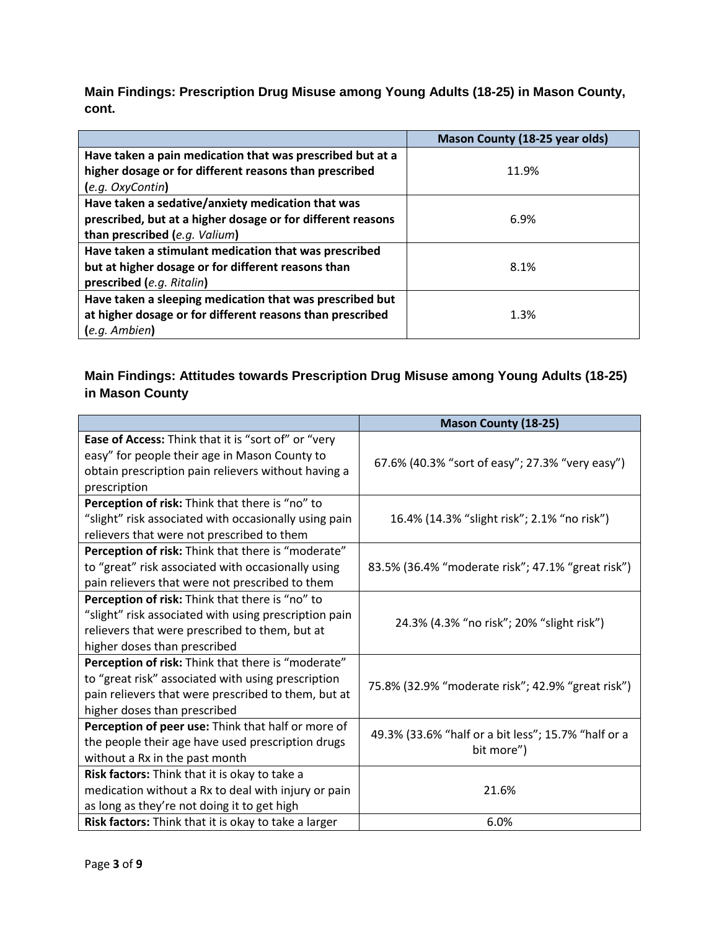**Main Findings: Prescription Drug Misuse among Young Adults (18-25) in Mason County, cont.**

|                                                             | Mason County (18-25 year olds) |
|-------------------------------------------------------------|--------------------------------|
| Have taken a pain medication that was prescribed but at a   |                                |
| higher dosage or for different reasons than prescribed      | 11.9%                          |
| (e.g. OxyContin)                                            |                                |
| Have taken a sedative/anxiety medication that was           |                                |
| prescribed, but at a higher dosage or for different reasons | 6.9%                           |
| than prescribed (e.g. Valium)                               |                                |
| Have taken a stimulant medication that was prescribed       |                                |
| but at higher dosage or for different reasons than          | 8.1%                           |
| prescribed (e.g. Ritalin)                                   |                                |
| Have taken a sleeping medication that was prescribed but    |                                |
| at higher dosage or for different reasons than prescribed   | 1.3%                           |
| $(e.q.$ Ambien $)$                                          |                                |

# **Main Findings: Attitudes towards Prescription Drug Misuse among Young Adults (18-25) in Mason County**

|                                                       | <b>Mason County (18-25)</b>                         |  |
|-------------------------------------------------------|-----------------------------------------------------|--|
| Ease of Access: Think that it is "sort of" or "very   |                                                     |  |
| easy" for people their age in Mason County to         | 67.6% (40.3% "sort of easy"; 27.3% "very easy")     |  |
| obtain prescription pain relievers without having a   |                                                     |  |
| prescription                                          |                                                     |  |
| Perception of risk: Think that there is "no" to       |                                                     |  |
| "slight" risk associated with occasionally using pain | 16.4% (14.3% "slight risk"; 2.1% "no risk")         |  |
| relievers that were not prescribed to them            |                                                     |  |
| Perception of risk: Think that there is "moderate"    |                                                     |  |
| to "great" risk associated with occasionally using    | 83.5% (36.4% "moderate risk"; 47.1% "great risk")   |  |
| pain relievers that were not prescribed to them       |                                                     |  |
| Perception of risk: Think that there is "no" to       |                                                     |  |
| "slight" risk associated with using prescription pain | 24.3% (4.3% "no risk"; 20% "slight risk")           |  |
| relievers that were prescribed to them, but at        |                                                     |  |
| higher doses than prescribed                          |                                                     |  |
| Perception of risk: Think that there is "moderate"    |                                                     |  |
| to "great risk" associated with using prescription    | 75.8% (32.9% "moderate risk"; 42.9% "great risk")   |  |
| pain relievers that were prescribed to them, but at   |                                                     |  |
| higher doses than prescribed                          |                                                     |  |
| Perception of peer use: Think that half or more of    | 49.3% (33.6% "half or a bit less"; 15.7% "half or a |  |
| the people their age have used prescription drugs     | bit more")                                          |  |
| without a Rx in the past month                        |                                                     |  |
| Risk factors: Think that it is okay to take a         |                                                     |  |
| medication without a Rx to deal with injury or pain   | 21.6%                                               |  |
| as long as they're not doing it to get high           |                                                     |  |
| Risk factors: Think that it is okay to take a larger  | 6.0%                                                |  |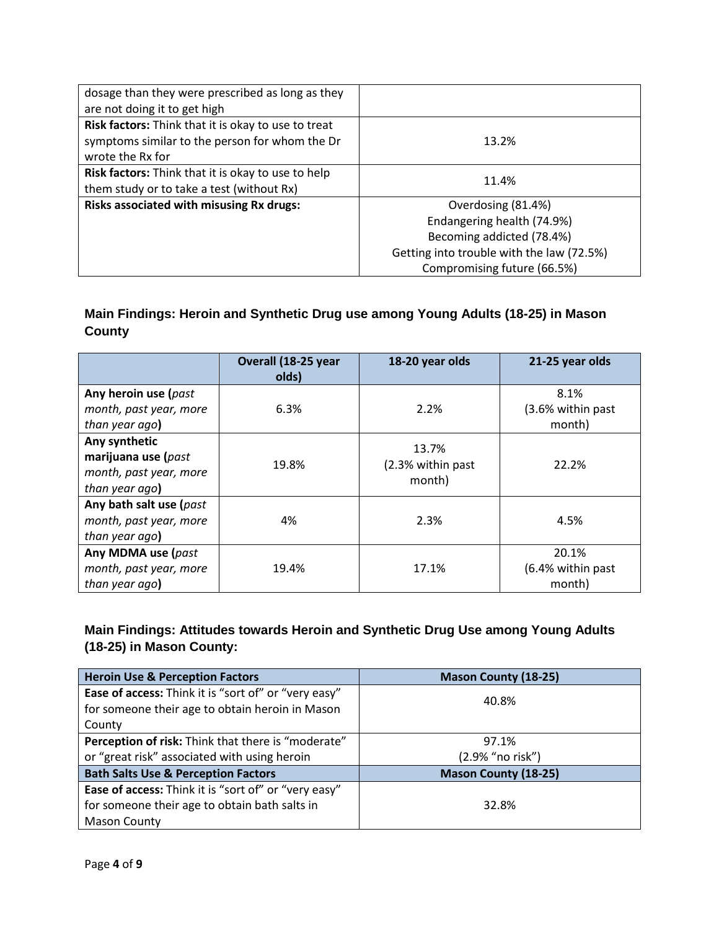| dosage than they were prescribed as long as they          |                                           |  |
|-----------------------------------------------------------|-------------------------------------------|--|
| are not doing it to get high                              |                                           |  |
| Risk factors: Think that it is okay to use to treat       |                                           |  |
| symptoms similar to the person for whom the Dr            | 13.2%                                     |  |
| wrote the Rx for                                          |                                           |  |
| <b>Risk factors:</b> Think that it is okay to use to help | 11.4%                                     |  |
| them study or to take a test (without Rx)                 |                                           |  |
| Risks associated with misusing Rx drugs:                  | Overdosing (81.4%)                        |  |
|                                                           | Endangering health (74.9%)                |  |
|                                                           | Becoming addicted (78.4%)                 |  |
|                                                           | Getting into trouble with the law (72.5%) |  |
|                                                           | Compromising future (66.5%)               |  |

# **Main Findings: Heroin and Synthetic Drug use among Young Adults (18-25) in Mason County**

|                                                                                  | Overall (18-25 year<br>olds) | 18-20 year olds                      | 21-25 year olds                      |
|----------------------------------------------------------------------------------|------------------------------|--------------------------------------|--------------------------------------|
| Any heroin use (past<br>month, past year, more<br>than year ago)                 | 6.3%                         | 2.2%                                 | 8.1%<br>(3.6% within past<br>month)  |
| Any synthetic<br>marijuana use (past<br>month, past year, more<br>than year ago) | 19.8%                        | 13.7%<br>(2.3% within past<br>month) | 22.2%                                |
| Any bath salt use (past<br>month, past year, more<br>than year ago)              | 4%                           | 2.3%                                 | 4.5%                                 |
| Any MDMA use (past<br>month, past year, more<br>than year ago)                   | 19.4%                        | 17.1%                                | 20.1%<br>(6.4% within past<br>month) |

# **Main Findings: Attitudes towards Heroin and Synthetic Drug Use among Young Adults (18-25) in Mason County:**

| <b>Heroin Use &amp; Perception Factors</b>                | <b>Mason County (18-25)</b> |  |
|-----------------------------------------------------------|-----------------------------|--|
| Ease of access: Think it is "sort of" or "very easy"      | 40.8%                       |  |
| for someone their age to obtain heroin in Mason           |                             |  |
| County                                                    |                             |  |
| <b>Perception of risk:</b> Think that there is "moderate" | 97.1%                       |  |
| or "great risk" associated with using heroin              | (2.9% "no risk")            |  |
| <b>Bath Salts Use &amp; Perception Factors</b>            | <b>Mason County (18-25)</b> |  |
| Ease of access: Think it is "sort of" or "very easy"      |                             |  |
| for someone their age to obtain bath salts in             | 32.8%                       |  |
| <b>Mason County</b>                                       |                             |  |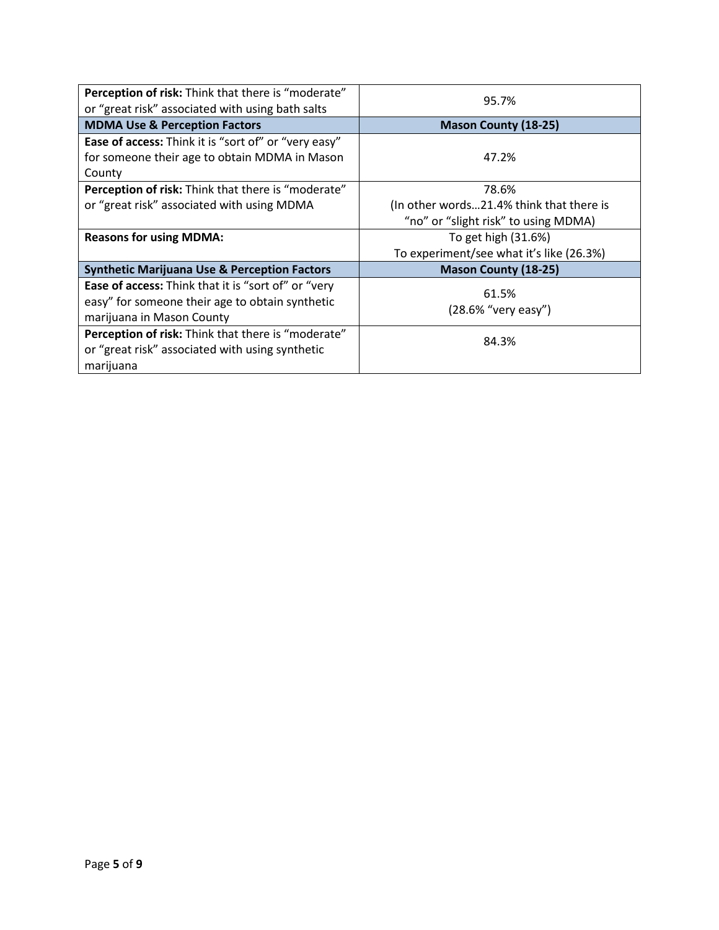| <b>Perception of risk:</b> Think that there is "moderate"<br>or "great risk" associated with using bath salts | 95.7%                                    |
|---------------------------------------------------------------------------------------------------------------|------------------------------------------|
| <b>MDMA Use &amp; Perception Factors</b>                                                                      | <b>Mason County (18-25)</b>              |
| <b>Ease of access:</b> Think it is "sort of" or "very easy"                                                   |                                          |
| for someone their age to obtain MDMA in Mason                                                                 | 47.2%                                    |
| County                                                                                                        |                                          |
| <b>Perception of risk:</b> Think that there is "moderate"                                                     | 78.6%                                    |
| or "great risk" associated with using MDMA                                                                    | (In other words21.4% think that there is |
|                                                                                                               | "no" or "slight risk" to using MDMA)     |
| <b>Reasons for using MDMA:</b>                                                                                | To get high (31.6%)                      |
|                                                                                                               | To experiment/see what it's like (26.3%) |
| <b>Synthetic Marijuana Use &amp; Perception Factors</b>                                                       | <b>Mason County (18-25)</b>              |
| Ease of access: Think that it is "sort of" or "very                                                           | 61.5%                                    |
| easy" for someone their age to obtain synthetic                                                               |                                          |
| marijuana in Mason County                                                                                     | (28.6% "very easy")                      |
| Perception of risk: Think that there is "moderate"                                                            | 84.3%                                    |
| or "great risk" associated with using synthetic                                                               |                                          |
| marijuana                                                                                                     |                                          |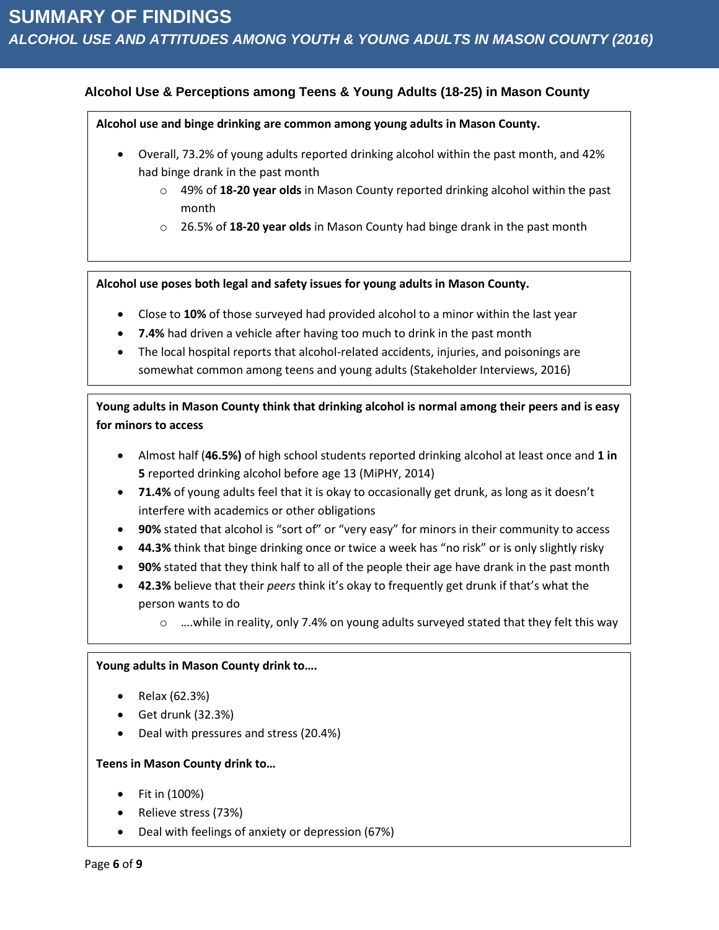### **Alcohol Use & Perceptions among Teens & Young Adults (18-25) in Mason County**

**Alcohol use and binge drinking are common among young adults in Mason County.** 

- Overall, 73.2% of young adults reported drinking alcohol within the past month, and 42% had binge drank in the past month
	- o 49% of **18-20 year olds** in Mason County reported drinking alcohol within the past month
	- o 26.5% of **18-20 year olds** in Mason County had binge drank in the past month

**Alcohol use poses both legal and safety issues for young adults in Mason County.** 

- Close to **10%** of those surveyed had provided alcohol to a minor within the last year
- **7.4%** had driven a vehicle after having too much to drink in the past month
- The local hospital reports that alcohol-related accidents, injuries, and poisonings are somewhat common among teens and young adults (Stakeholder Interviews, 2016)

**Young adults in Mason County think that drinking alcohol is normal among their peers and is easy for minors to access**

- Almost half (**46.5%)** of high school students reported drinking alcohol at least once and **1 in 5** reported drinking alcohol before age 13 (MiPHY, 2014)
- **71.4%** of young adults feel that it is okay to occasionally get drunk, as long as it doesn't interfere with academics or other obligations
- **90%** stated that alcohol is "sort of" or "very easy" for minors in their community to access
- **44.3%** think that binge drinking once or twice a week has "no risk" or is only slightly risky
- **90%** stated that they think half to all of the people their age have drank in the past month
- **42.3%** believe that their *peers* think it's okay to frequently get drunk if that's what the person wants to do
	- $\circ$  ....while in reality, only 7.4% on young adults surveyed stated that they felt this way

#### **Young adults in Mason County drink to….**

- Relax (62.3%)
- $\bullet$  Get drunk (32.3%)
- Deal with pressures and stress (20.4%)

#### **Teens in Mason County drink to…**

- Fit in (100%)
- Relieve stress (73%)
- Deal with feelings of anxiety or depression (67%)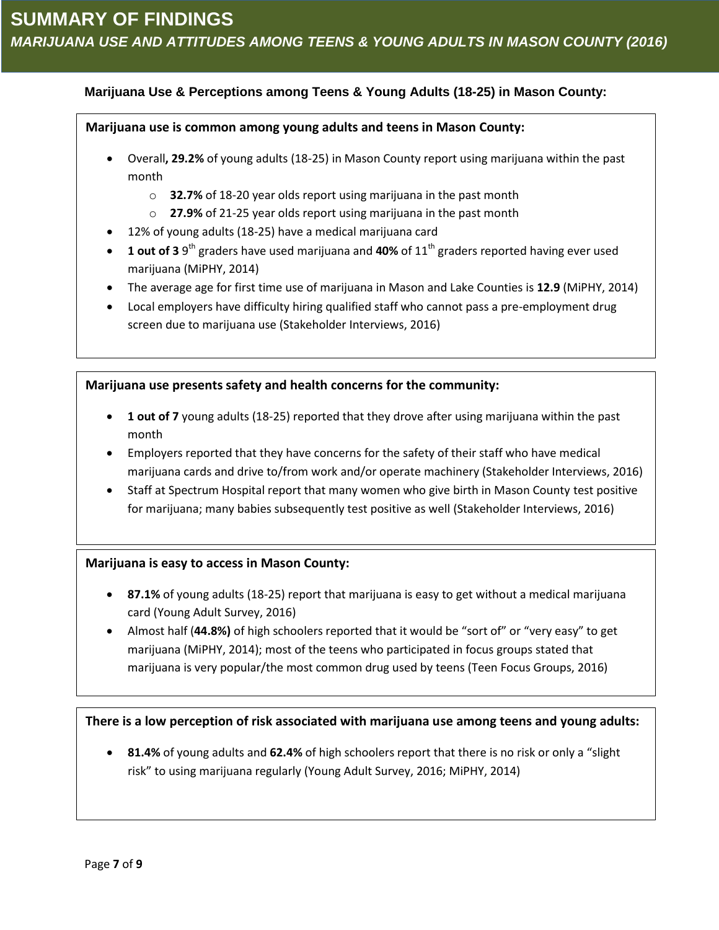### **Marijuana Use & Perceptions among Teens & Young Adults (18-25) in Mason County:**

#### **Marijuana use is common among young adults and teens in Mason County:**

- Overall**, 29.2%** of young adults (18-25) in Mason County report using marijuana within the past month
	- o **32.7%** of 18-20 year olds report using marijuana in the past month
	- o **27.9%** of 21-25 year olds report using marijuana in the past month
- 12% of young adults (18-25) have a medical marijuana card
- **1 out of 3** 9<sup>th</sup> graders have used marijuana and 40% of 11<sup>th</sup> graders reported having ever used marijuana (MiPHY, 2014)
- The average age for first time use of marijuana in Mason and Lake Counties is **12.9** (MiPHY, 2014)
- Local employers have difficulty hiring qualified staff who cannot pass a pre-employment drug screen due to marijuana use (Stakeholder Interviews, 2016)

#### **Marijuana use presents safety and health concerns for the community:**

- **1 out of 7** young adults (18-25) reported that they drove after using marijuana within the past month
- Employers reported that they have concerns for the safety of their staff who have medical marijuana cards and drive to/from work and/or operate machinery (Stakeholder Interviews, 2016)
- Staff at Spectrum Hospital report that many women who give birth in Mason County test positive for marijuana; many babies subsequently test positive as well (Stakeholder Interviews, 2016)

#### **Marijuana is easy to access in Mason County:**

- **87.1%** of young adults (18-25) report that marijuana is easy to get without a medical marijuana card (Young Adult Survey, 2016)
- Almost half (**44.8%)** of high schoolers reported that it would be "sort of" or "very easy" to get marijuana (MiPHY, 2014); most of the teens who participated in focus groups stated that marijuana is very popular/the most common drug used by teens (Teen Focus Groups, 2016)

### **There is a low perception of risk associated with marijuana use among teens and young adults:**

 **81.4%** of young adults and **62.4%** of high schoolers report that there is no risk or only a "slight risk" to using marijuana regularly (Young Adult Survey, 2016; MiPHY, 2014)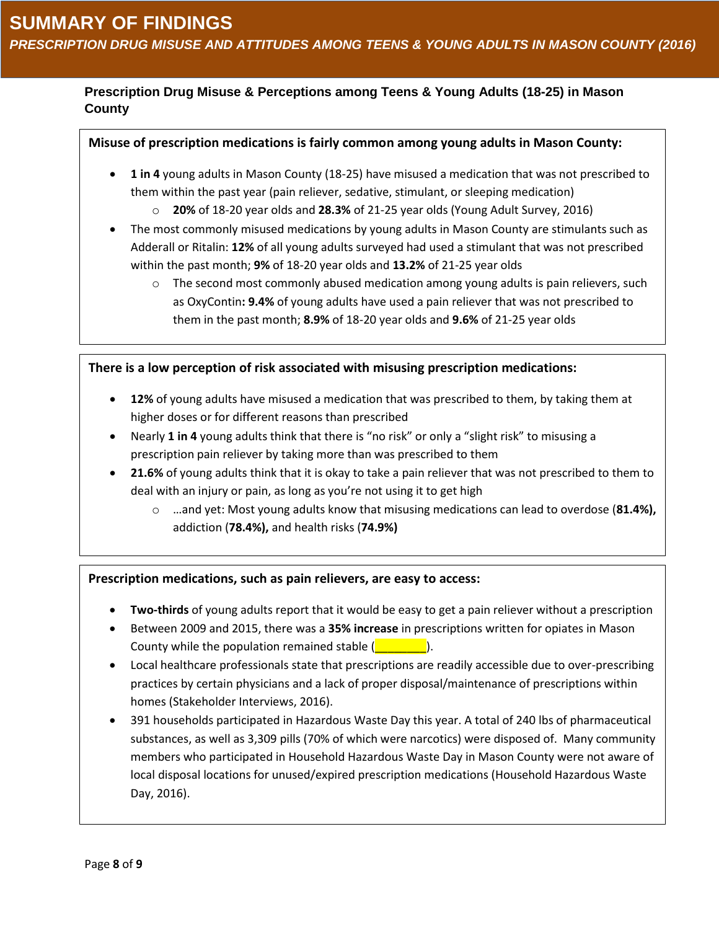# **Prescription Drug Misuse & Perceptions among Teens & Young Adults (18-25) in Mason County**

### **Misuse of prescription medications is fairly common among young adults in Mason County:**

- **1 in 4** young adults in Mason County (18-25) have misused a medication that was not prescribed to them within the past year (pain reliever, sedative, stimulant, or sleeping medication)
	- o **20%** of 18-20 year olds and **28.3%** of 21-25 year olds (Young Adult Survey, 2016)
- The most commonly misused medications by young adults in Mason County are stimulants such as Adderall or Ritalin: **12%** of all young adults surveyed had used a stimulant that was not prescribed within the past month; **9%** of 18-20 year olds and **13.2%** of 21-25 year olds
	- $\circ$  The second most commonly abused medication among young adults is pain relievers, such as OxyContin**: 9.4%** of young adults have used a pain reliever that was not prescribed to them in the past month; **8.9%** of 18-20 year olds and **9.6%** of 21-25 year olds

**There is a low perception of risk associated with misusing prescription medications:**

- **12%** of young adults have misused a medication that was prescribed to them, by taking them at higher doses or for different reasons than prescribed
- Nearly **1 in 4** young adults think that there is "no risk" or only a "slight risk" to misusing a prescription pain reliever by taking more than was prescribed to them
- **21.6%** of young adults think that it is okay to take a pain reliever that was not prescribed to them to deal with an injury or pain, as long as you're not using it to get high
	- o …and yet: Most young adults know that misusing medications can lead to overdose (**81.4%),** addiction (**78.4%),** and health risks (**74.9%)**

#### **Prescription medications, such as pain relievers, are easy to access:**

- **Two-thirds** of young adults report that it would be easy to get a pain reliever without a prescription
- Between 2009 and 2015, there was a **35% increase** in prescriptions written for opiates in Mason County while the population remained stable  $($
- Local healthcare professionals state that prescriptions are readily accessible due to over-prescribing practices by certain physicians and a lack of proper disposal/maintenance of prescriptions within homes (Stakeholder Interviews, 2016).
- 391 households participated in Hazardous Waste Day this year. A total of 240 lbs of pharmaceutical substances, as well as 3,309 pills (70% of which were narcotics) were disposed of. Many community members who participated in Household Hazardous Waste Day in Mason County were not aware of local disposal locations for unused/expired prescription medications (Household Hazardous Waste Day, 2016).